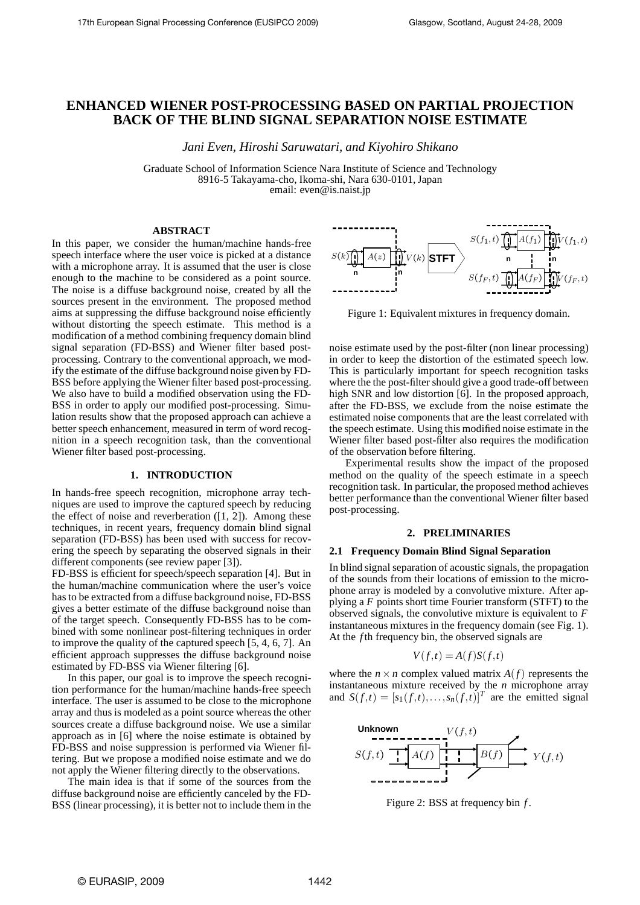# **ENHANCED WIENER POST-PROCESSING BASED ON PARTIAL PROJECTION BACK OF THE BLIND SIGNAL SEPARATION NOISE ESTIMATE**

*Jani Even, Hiroshi Saruwatari, and Kiyohiro Shikano*

Graduate School of Information Science Nara Institute of Science and Technology 8916-5 Takayama-cho, Ikoma-shi, Nara 630-0101, Japan email: even@is.naist.jp

# **ABSTRACT**

In this paper, we consider the human/machine hands-free speech interface where the user voice is picked at a distance with a microphone array. It is assumed that the user is close enough to the machine to be considered as a point source. The noise is a diffuse background noise, created by all the sources present in the environment. The proposed method aims at suppressing the diffuse background noise efficiently without distorting the speech estimate. This method is a modification of a method combining frequency domain blind signal separation (FD-BSS) and Wiener filter based postprocessing. Contrary to the conventional approach, we modify the estimate of the diffuse background noise given by FD-BSS before applying the Wiener filter based post-processing. We also have to build a modified observation using the FD-BSS in order to apply our modified post-processing. Simulation results show that the proposed approach can achieve a better speech enhancement, measured in term of word recognition in a speech recognition task, than the conventional Wiener filter based post-processing.

## **1. INTRODUCTION**

In hands-free speech recognition, microphone array techniques are used to improve the captured speech by reducing the effect of noise and reverberation  $(1, 2)$ . Among these techniques, in recent years, frequency domain blind signal separation (FD-BSS) has been used with success for recovering the speech by separating the observed signals in their different components (see review paper [3]).

FD-BSS is efficient for speech/speech separation [4]. But in the human/machine communication where the user's voice has to be extracted from a diffuse background noise, FD-BSS gives a better estimate of the diffuse background noise than of the target speech. Consequently FD-BSS has to be combined with some nonlinear post-filtering techniques in order to improve the quality of the captured speech [5, 4, 6, 7]. An efficient approach suppresses the diffuse background noise estimated by FD-BSS via Wiener filtering [6].

In this paper, our goal is to improve the speech recognition performance for the human/machine hands-free speech interface. The user is assumed to be close to the microphone array and thus is modeled as a point source whereas the other sources create a diffuse background noise. We use a similar approach as in [6] where the noise estimate is obtained by FD-BSS and noise suppression is performed via Wiener filtering. But we propose a modified noise estimate and we do not apply the Wiener filtering directly to the observations.

The main idea is that if some of the sources from the diffuse background noise are efficiently canceled by the FD-BSS (linear processing), it is better not to include them in the



Figure 1: Equivalent mixtures in frequency domain.

noise estimate used by the post-filter (non linear processing) in order to keep the distortion of the estimated speech low. This is particularly important for speech recognition tasks where the the post-filter should give a good trade-off between high SNR and low distortion [6]. In the proposed approach, after the FD-BSS, we exclude from the noise estimate the estimated noise components that are the least correlated with the speech estimate. Using this modified noise estimate in the Wiener filter based post-filter also requires the modification of the observation before filtering.

Experimental results show the impact of the proposed method on the quality of the speech estimate in a speech recognition task. In particular, the proposed method achieves better performance than the conventional Wiener filter based post-processing.

## **2. PRELIMINARIES**

## **2.1 Frequency Domain Blind Signal Separation**

In blind signal separation of acoustic signals, the propagation of the sounds from their locations of emission to the microphone array is modeled by a convolutive mixture. After applying a *F* points short time Fourier transform (STFT) to the observed signals, the convolutive mixture is equivalent to *F* instantaneous mixtures in the frequency domain (see Fig. 1). At the *f* th frequency bin, the observed signals are

$$
V(f,t) = A(f)S(f,t)
$$

where the  $n \times n$  complex valued matrix  $A(f)$  represents the instantaneous mixture received by the *n* microphone array and  $S(f,t) = [s_1(f,t),...,s_n(f,t)]^T$  are the emitted signal



Figure 2: BSS at frequency bin *f* .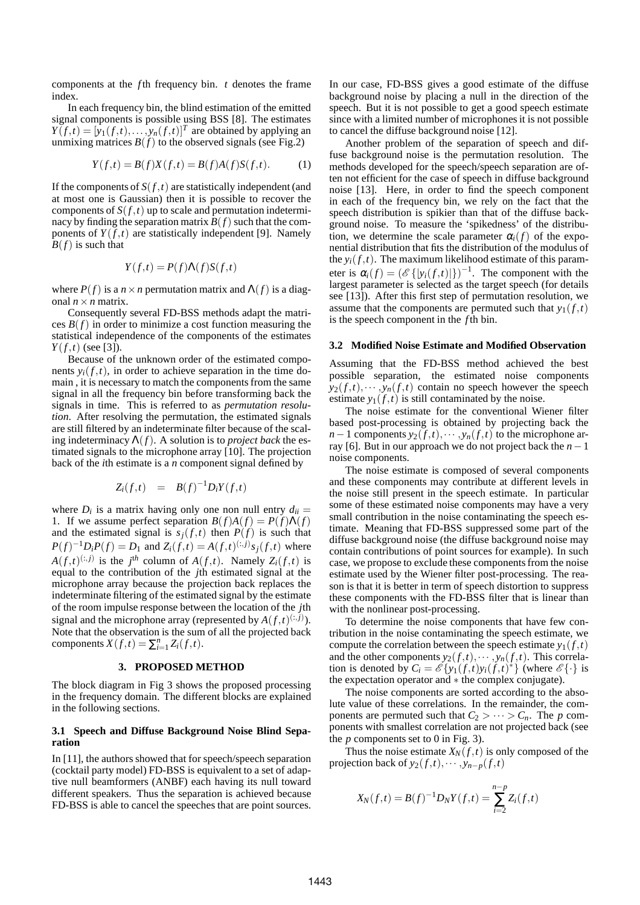components at the *f* th frequency bin. *t* denotes the frame index.

In each frequency bin, the blind estimation of the emitted signal components is possible using BSS [8]. The estimates  $Y(f,t) = [y_1(f,t),...,y_n(f,t)]^T$  are obtained by applying an unmixing matrices  $B(f)$  to the observed signals (see Fig.2)

$$
Y(f,t) = B(f)X(f,t) = B(f)A(f)S(f,t).
$$
 (1)

If the components of  $S(f,t)$  are statistically independent (and at most one is Gaussian) then it is possible to recover the components of  $S(f,t)$  up to scale and permutation indeterminacy by finding the separation matrix  $B(f)$  such that the components of  $Y(f,t)$  are statistically independent [9]. Namely  $B(f)$  is such that

$$
Y(f,t) = P(f)\Lambda(f)S(f,t)
$$

where  $P(f)$  is a  $n \times n$  permutation matrix and  $\Lambda(f)$  is a diagonal  $n \times n$  matrix.

Consequently several FD-BSS methods adapt the matrices  $B(f)$  in order to minimize a cost function measuring the statistical independence of the components of the estimates  $Y(f,t)$  (see [3]).

Because of the unknown order of the estimated components  $y_i(f,t)$ , in order to achieve separation in the time domain , it is necessary to match the components from the same signal in all the frequency bin before transforming back the signals in time. This is referred to as *permutation resolution*. After resolving the permutation, the estimated signals are still filtered by an indeterminate filter because of the scaling indeterminacy  $\Lambda(f)$ . A solution is to *project back* the estimated signals to the microphone array [10]. The projection back of the *i*th estimate is a *n* component signal defined by

$$
Z_i(f,t) = B(f)^{-1}D_iY(f,t)
$$

where  $D_i$  is a matrix having only one non null entry  $d_{ii} =$ 1. If we assume perfect separation  $B(f)A(f) = P(f)\Lambda(f)$ and the estimated signal is  $s_j(f,t)$  then  $P(f)$  is such that *P*(*f*)<sup>-1</sup>*D*<sub>*i</sub>P*(*f*) = *D*<sub>1</sub> and *Z*<sub>*i*</sub>(*f*,*t*) = *A*(*f*,*t*)<sup>(:,*j*)</sup>*s*<sub>*j*</sub>(*f*,*t*) where</sub>  $A(f,t)^{(:,j)}$  is the *j*<sup>th</sup> column of  $A(f,t)$ . Namely  $Z_i(f,t)$  is equal to the contribution of the *j*th estimated signal at the microphone array because the projection back replaces the indeterminate filtering of the estimated signal by the estimate of the room impulse response between the location of the *j*th signal and the microphone array (represented by  $A(f,t)^{(:,j)}$ ). Note that the observation is the sum of all the projected back components  $X(f,t) = \sum_{i=1}^{n} Z_i(f,t)$ .

## **3. PROPOSED METHOD**

The block diagram in Fig 3 shows the proposed processing in the frequency domain. The different blocks are explained in the following sections.

#### **3.1 Speech and Diffuse Background Noise Blind Separation**

In [11], the authors showed that for speech/speech separation (cocktail party model) FD-BSS is equivalent to a set of adaptive null beamformers (ANBF) each having its null toward different speakers. Thus the separation is achieved because FD-BSS is able to cancel the speeches that are point sources.

In our case, FD-BSS gives a good estimate of the diffuse background noise by placing a null in the direction of the speech. But it is not possible to get a good speech estimate since with a limited number of microphones it is not possible to cancel the diffuse background noise [12].

Another problem of the separation of speech and diffuse background noise is the permutation resolution. The methods developed for the speech/speech separation are often not efficient for the case of speech in diffuse background noise [13]. Here, in order to find the speech component in each of the frequency bin, we rely on the fact that the speech distribution is spikier than that of the diffuse background noise. To measure the 'spikedness' of the distribution, we determine the scale parameter  $\alpha_i(f)$  of the exponential distribution that fits the distribution of the modulus of the  $y_i(f, t)$ . The maximum likelihood estimate of this parameter is  $\alpha_i(f) = (\mathscr{E}\{|y_i(f,t)|\})^{-1}$ . The component with the largest parameter is selected as the target speech (for details see [13]). After this first step of permutation resolution, we assume that the components are permuted such that  $y_1(f,t)$ is the speech component in the *f* th bin.

#### **3.2 Modified Noise Estimate and Modified Observation**

Assuming that the FD-BSS method achieved the best possible separation, the estimated noise components  $y_2(f,t),\cdots,y_n(f,t)$  contain no speech however the speech estimate  $y_1(f,t)$  is still contaminated by the noise.

The noise estimate for the conventional Wiener filter based post-processing is obtained by projecting back the *n*−1 components  $y_2(f,t)$ , ···,  $y_n(f,t)$  to the microphone array [6]. But in our approach we do not project back the *n*−1 noise components.

The noise estimate is composed of several components and these components may contribute at different levels in the noise still present in the speech estimate. In particular some of these estimated noise components may have a very small contribution in the noise contaminating the speech estimate. Meaning that FD-BSS suppressed some part of the diffuse background noise (the diffuse background noise may contain contributions of point sources for example). In such case, we propose to exclude these components from the noise estimate used by the Wiener filter post-processing. The reason is that it is better in term of speech distortion to suppress these components with the FD-BSS filter that is linear than with the nonlinear post-processing.

To determine the noise components that have few contribution in the noise contaminating the speech estimate, we compute the correlation between the speech estimate  $y_1(f,t)$ and the other components  $y_2(f,t),\cdots,y_n(f,t)$ . This correlation is denoted by  $C_i = \mathscr{E} \{ y_1(f,t) y_i(f,t) \}$  (where  $\mathscr{E} \{\cdot\}$  is the expectation operator and ∗ the complex conjugate).

The noise components are sorted according to the absolute value of these correlations. In the remainder, the components are permuted such that  $C_2 > \cdots > C_n$ . The *p* components with smallest correlation are not projected back (see the  $p$  components set to 0 in Fig. 3).

Thus the noise estimate  $X_N(f,t)$  is only composed of the projection back of  $y_2(f,t),\cdots,y_{n-p}(f,t)$ 

$$
X_N(f,t) = B(f)^{-1}D_NY(f,t) = \sum_{i=2}^{n-p} Z_i(f,t)
$$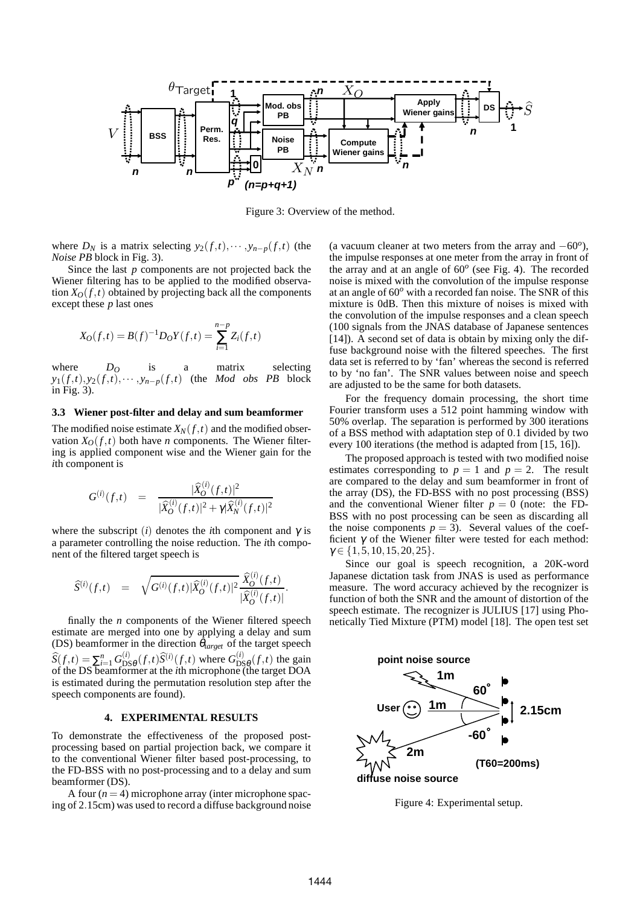

Figure 3: Overview of the method.

where  $D_N$  is a matrix selecting  $y_2(f,t), \cdots, y_{n-p}(f,t)$  (the *Noise PB* block in Fig. 3).

Since the last *p* components are not projected back the Wiener filtering has to be applied to the modified observation  $X_O(f,t)$  obtained by projecting back all the components except these *p* last ones

$$
X_O(f,t) = B(f)^{-1}D_OY(f,t) = \sum_{i=1}^{n-p} Z_i(f,t)
$$

where  $D<sub>O</sub>$  is a matrix selecting  $y_1(f,t), y_2(f,t), \cdots, y_{n-p}(f,t)$  (the *Mod obs PB* block in Fig. 3).

#### **3.3 Wiener post-filter and delay and sum beamformer**

The modified noise estimate  $X_N(f,t)$  and the modified observation  $X_O(f,t)$  both have *n* components. The Wiener filtering is applied component wise and the Wiener gain for the *i*th component is

$$
G^{(i)}(f,t) = \frac{|\widehat{X}_O^{(i)}(f,t)|^2}{|\widehat{X}_O^{(i)}(f,t)|^2 + \gamma |\widehat{X}_N^{(i)}(f,t)|^2}
$$

where the subscript (*i*) denotes the *i*th component and  $\gamma$  is a parameter controlling the noise reduction. The *i*th component of the filtered target speech is

$$
\widehat{S}^{(i)}(f,t) \quad = \quad \sqrt{G^{(i)}(f,t)|\widehat{X}_O^{(i)}(f,t)|^2} \frac{\widehat{X}_O^{(i)}(f,t)}{|\widehat{X}_O^{(i)}(f,t)|}.
$$

finally the *n* components of the Wiener filtered speech estimate are merged into one by applying a delay and sum (DS) beamformer in the direction  $\theta_{target}$  of the target speech  $\widehat{S}(f,t) = \sum_{i=1}^{n} G_{DS}^{(i)}$  $\frac{d^{(i)}}{\mathrm{DS}\theta}(f,t)\widehat{S}^{(i)}(f,t)$  where  $G^{(i)}_{\mathrm{DS}}$  $\frac{d^{(t)}}{\log \theta}(f,t)$  the gain of the DS beamformer at the *i*th microphone (the target DOA is estimated during the permutation resolution step after the speech components are found).

#### **4. EXPERIMENTAL RESULTS**

To demonstrate the effectiveness of the proposed postprocessing based on partial projection back, we compare it to the conventional Wiener filter based post-processing, to the FD-BSS with no post-processing and to a delay and sum beamformer (DS).

A four  $(n = 4)$  microphone array (inter microphone spacing of 2.15cm) was used to record a diffuse background noise

(a vacuum cleaner at two meters from the array and −60*<sup>o</sup>* ), the impulse responses at one meter from the array in front of the array and at an angle of 60*<sup>o</sup>* (see Fig. 4). The recorded noise is mixed with the convolution of the impulse response at an angle of 60*<sup>o</sup>* with a recorded fan noise. The SNR of this mixture is 0dB. Then this mixture of noises is mixed with the convolution of the impulse responses and a clean speech (100 signals from the JNAS database of Japanese sentences [14]). A second set of data is obtain by mixing only the diffuse background noise with the filtered speeches. The first data set is referred to by 'fan' whereas the second is referred to by 'no fan'. The SNR values between noise and speech are adjusted to be the same for both datasets.

For the frequency domain processing, the short time Fourier transform uses a 512 point hamming window with 50% overlap. The separation is performed by 300 iterations of a BSS method with adaptation step of 0.1 divided by two every 100 iterations (the method is adapted from [15, 16]).

The proposed approach is tested with two modified noise estimates corresponding to  $p = 1$  and  $p = 2$ . The result are compared to the delay and sum beamformer in front of the array (DS), the FD-BSS with no post processing (BSS) and the conventional Wiener filter  $p = 0$  (note: the FD-BSS with no post processing can be seen as discarding all the noise components  $p = 3$ ). Several values of the coefficient  $\gamma$  of the Wiener filter were tested for each method:  $\gamma \in \{1, 5, 10, 15, 20, 25\}.$ 

Since our goal is speech recognition, a 20K-word Japanese dictation task from JNAS is used as performance measure. The word accuracy achieved by the recognizer is function of both the SNR and the amount of distortion of the speech estimate. The recognizer is JULIUS [17] using Phonetically Tied Mixture (PTM) model [18]. The open test set



Figure 4: Experimental setup.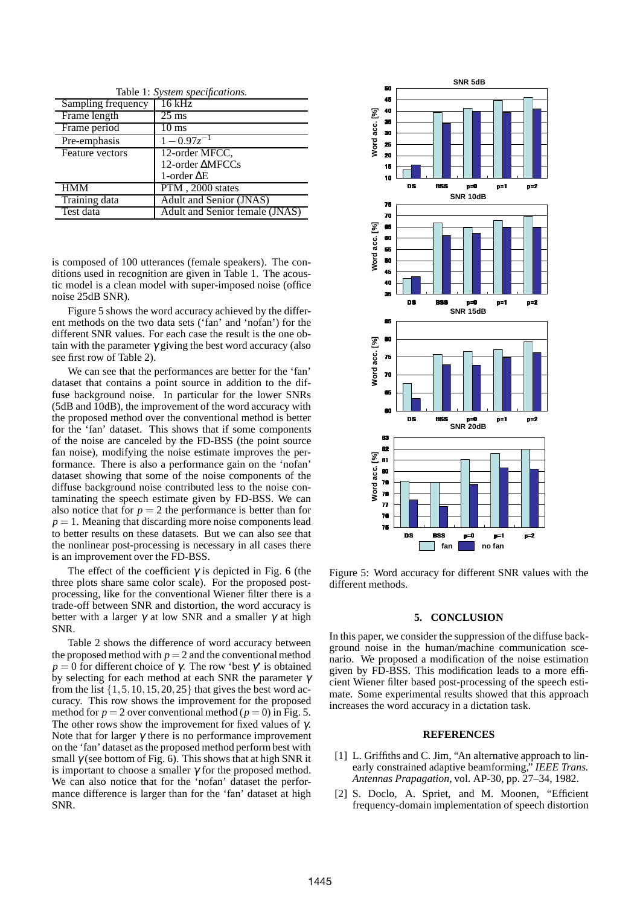| Table 1: System specifications. |                                |  |  |  |  |
|---------------------------------|--------------------------------|--|--|--|--|
| Sampling frequency              | 16 kHz                         |  |  |  |  |
| Frame length                    | $25 \text{ ms}$                |  |  |  |  |
| Frame period                    | 10 ms                          |  |  |  |  |
| Pre-emphasis                    | $1 - 0.97z^{-1}$               |  |  |  |  |
| Feature vectors                 | 12-order MFCC,                 |  |  |  |  |
|                                 | 12-order AMFCCs                |  |  |  |  |
|                                 | 1-order $\Delta E$             |  |  |  |  |
| <b>HMM</b>                      | PTM, 2000 states               |  |  |  |  |
| Training data                   | <b>Adult and Senior (JNAS)</b> |  |  |  |  |
| Test data                       | Adult and Senior female (JNAS) |  |  |  |  |

is composed of 100 utterances (female speakers). The conditions used in recognition are given in Table 1. The acoustic model is a clean model with super-imposed noise (office noise 25dB SNR).

Figure 5 shows the word accuracy achieved by the different methods on the two data sets ('fan' and 'nofan') for the different SNR values. For each case the result is the one obtain with the parameter  $\gamma$  giving the best word accuracy (also see first row of Table 2).

We can see that the performances are better for the 'fan' dataset that contains a point source in addition to the diffuse background noise. In particular for the lower SNRs (5dB and 10dB), the improvement of the word accuracy with the proposed method over the conventional method is better for the 'fan' dataset. This shows that if some components of the noise are canceled by the FD-BSS (the point source fan noise), modifying the noise estimate improves the performance. There is also a performance gain on the 'nofan' dataset showing that some of the noise components of the diffuse background noise contributed less to the noise contaminating the speech estimate given by FD-BSS. We can also notice that for  $p = 2$  the performance is better than for  $p = 1$ . Meaning that discarding more noise components lead to better results on these datasets. But we can also see that the nonlinear post-processing is necessary in all cases there is an improvement over the FD-BSS.

The effect of the coefficient  $\gamma$  is depicted in Fig. 6 (the three plots share same color scale). For the proposed postprocessing, like for the conventional Wiener filter there is a trade-off between SNR and distortion, the word accuracy is better with a larger  $\gamma$  at low SNR and a smaller  $\gamma$  at high SNR.

Table 2 shows the difference of word accuracy between the proposed method with  $p = 2$  and the conventional method  $p = 0$  for different choice of γ. The row 'best γ' is obtained by selecting for each method at each SNR the parameter  $\gamma$ from the list  $\{1,5,10,15,20,25\}$  that gives the best word accuracy. This row shows the improvement for the proposed method for  $p = 2$  over conventional method ( $p = 0$ ) in Fig. 5. The other rows show the improvement for fixed values of  $\gamma$ . Note that for larger  $\gamma$  there is no performance improvement on the 'fan' dataset as the proposed method perform best with small  $\gamma$  (see bottom of Fig. 6). This shows that at high SNR it is important to choose a smaller  $\gamma$  for the proposed method. We can also notice that for the 'nofan' dataset the performance difference is larger than for the 'fan' dataset at high SNR.



Figure 5: Word accuracy for different SNR values with the different methods.

#### **5. CONCLUSION**

In this paper, we consider the suppression of the diffuse background noise in the human/machine communication scenario. We proposed a modification of the noise estimation given by FD-BSS. This modification leads to a more efficient Wiener filter based post-processing of the speech estimate. Some experimental results showed that this approach increases the word accuracy in a dictation task.

## **REFERENCES**

- [1] L. Griffiths and C. Jim, "An alternative approach to linearly constrained adaptive beamforming," *IEEE Trans. Antennas Prapagation*, vol. AP-30, pp. 27–34, 1982.
- [2] S. Doclo, A. Spriet, and M. Moonen, "Efficient frequency-domain implementation of speech distortion